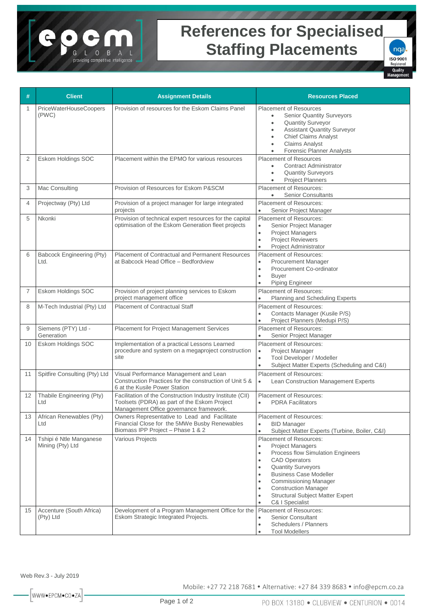## **References for Specialised Staffing Placements**



| #              | <b>Client</b>                               | <b>Assignment Details</b>                                                                                                                            | <b>Resources Placed</b>                                                                                                                                                                                                                                                                                                                                                                                                   |
|----------------|---------------------------------------------|------------------------------------------------------------------------------------------------------------------------------------------------------|---------------------------------------------------------------------------------------------------------------------------------------------------------------------------------------------------------------------------------------------------------------------------------------------------------------------------------------------------------------------------------------------------------------------------|
| 1              | <b>PriceWaterHouseCoopers</b><br>(PWC)      | Provision of resources for the Eskom Claims Panel                                                                                                    | <b>Placement of Resources</b><br><b>Senior Quantity Surveyors</b><br><b>Quantity Surveyor</b><br>$\bullet$<br><b>Assistant Quantity Surveyor</b><br>٠<br><b>Chief Claims Analyst</b><br>$\bullet$<br><b>Claims Analyst</b><br>٠<br>Forensic Planner Analysts<br>$\bullet$                                                                                                                                                 |
| 2              | Eskom Holdings SOC                          | Placement within the EPMO for various resources                                                                                                      | <b>Placement of Resources</b><br><b>Contract Administrator</b><br>$\bullet$<br><b>Quantity Surveyors</b><br>$\bullet$<br><b>Project Planners</b><br>$\bullet$                                                                                                                                                                                                                                                             |
| 3              | Mac Consulting                              | Provision of Resources for Eskom P&SCM                                                                                                               | <b>Placement of Resources:</b><br><b>Senior Consultants</b>                                                                                                                                                                                                                                                                                                                                                               |
| 4              | Projectway (Pty) Ltd                        | Provision of a project manager for large integrated<br>projects                                                                                      | <b>Placement of Resources:</b><br>Senior Project Manager<br>$\bullet$                                                                                                                                                                                                                                                                                                                                                     |
| 5              | Nkonki                                      | Provision of technical expert resources for the capital<br>optimisation of the Eskom Generation fleet projects                                       | <b>Placement of Resources:</b><br>Senior Project Manager<br>$\bullet$<br><b>Project Managers</b><br>$\bullet$<br><b>Project Reviewers</b><br>$\bullet$<br><b>Project Administrator</b><br>$\bullet$                                                                                                                                                                                                                       |
| 6              | Babcock Engineering (Pty)<br>Ltd.           | <b>Placement of Contractual and Permanent Resources</b><br>at Babcock Head Office - Bedfordview                                                      | <b>Placement of Resources:</b><br>Procurement Manager<br>$\bullet$<br>Procurement Co-ordinator<br>$\bullet$<br><b>Buyer</b><br>$\bullet$<br>Piping Engineer<br>$\bullet$                                                                                                                                                                                                                                                  |
| $\overline{7}$ | Eskom Holdings SOC                          | Provision of project planning services to Eskom<br>project management office                                                                         | Placement of Resources:<br>Planning and Scheduling Experts                                                                                                                                                                                                                                                                                                                                                                |
| 8              | M-Tech Industrial (Pty) Ltd                 | <b>Placement of Contractual Staff</b>                                                                                                                | <b>Placement of Resources:</b><br>Contacts Manager (Kusile P/S)<br>$\bullet$<br>Project Planners (Medupi P/S)                                                                                                                                                                                                                                                                                                             |
| 9              | Siemens (PTY) Ltd -<br>Generation           | Placement for Project Management Services                                                                                                            | <b>Placement of Resources:</b><br>Senior Project Manager<br>$\bullet$                                                                                                                                                                                                                                                                                                                                                     |
| 10             | Eskom Holdings SOC                          | Implementation of a practical Lessons Learned<br>procedure and system on a megaproject construction<br>site                                          | Placement of Resources:<br>Project Manager<br>$\bullet$<br>Tool Developer / Modeller<br>$\bullet$<br>Subject Matter Experts (Scheduling and C&I)<br>$\bullet$                                                                                                                                                                                                                                                             |
| 11             | Spitfire Consulting (Pty) Ltd               | Visual Performance Management and Lean<br>Construction Practices for the construction of Unit 5 &<br>6 at the Kusile Power Station                   | Placement of Resources:<br>Lean Construction Management Experts<br>$\bullet$                                                                                                                                                                                                                                                                                                                                              |
| 12             | Thabile Engineering (Pty)<br>Ltd            | Facilitation of the Construction Industry Institute (CII)<br>Toolsets (PDRA) as part of the Eskom Project<br>Management Office governance framework. | Placement of Resources:<br><b>PDRA Facilitators</b><br>$\bullet$                                                                                                                                                                                                                                                                                                                                                          |
| 13             | African Renewables (Pty)<br>Ltd             | Owners Representative to Lead and Facilitate<br>Financial Close for the 5MWe Busby Renewables<br>Biomass IPP Project - Phase 1 & 2                   | <b>Placement of Resources:</b><br><b>BID Manager</b><br>$\bullet$<br>Subject Matter Experts (Turbine, Boiler, C&I)<br>$\bullet$                                                                                                                                                                                                                                                                                           |
| 14             | Tshipi é Ntle Manganese<br>Mining (Pty) Ltd | Various Projects                                                                                                                                     | <b>Placement of Resources:</b><br><b>Project Managers</b><br>$\bullet$<br>Process flow Simulation Engineers<br>$\bullet$<br><b>CAD Operators</b><br>$\bullet$<br><b>Quantity Surveyors</b><br>$\bullet$<br><b>Business Case Modeller</b><br>$\bullet$<br><b>Commissioning Manager</b><br>$\bullet$<br><b>Construction Manager</b><br>$\bullet$<br><b>Structural Subject Matter Expert</b><br>$\bullet$<br>C& I Specialist |
| 15             | Accenture (South Africa)<br>(Pty) Ltd       | Development of a Program Management Office for the<br>Eskom Strategic Integrated Projects.                                                           | <b>Placement of Resources:</b><br><b>Senior Consultant</b><br>٠<br>Schedulers / Planners<br>$\bullet$<br><b>Tool Modellers</b><br>$\bullet$                                                                                                                                                                                                                                                                               |

Web Rev.3 - July 2019

 $-\sqrt{\text{WWW} \cdot \text{EPCM} \cdot \text{CO} \cdot \text{ZA}}$ 

 $O$   $B$ 

providing competitive intellige

T.

Mobile: +27 72 218 7681 · Alternative: +27 84 339 8683 · info@epcm.co.za